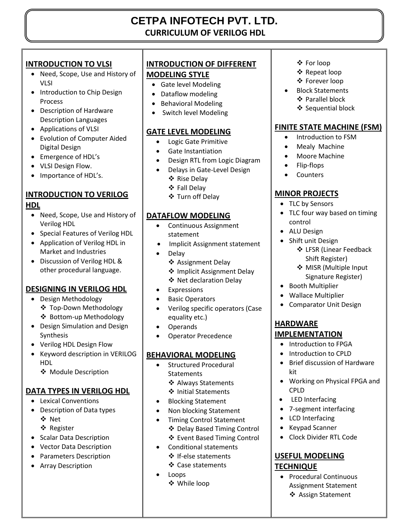## **CETPA INFOTECH PVT. LTD. CURRICULUM OF VERILOG HDL**

## **INTRODUCTION TO VLSI**

- Need, Scope, Use and History of VLSI
- Introduction to Chip Design Process
- Description of Hardware Description Languages
- Applications of VLSI
- Evolution of Computer Aided Digital Design
- Emergence of HDL's
- VLSI Design Flow.
- Importance of HDL's.

# **INTRODUCTION TO VERILOG**

#### **HDL**

- Need, Scope, Use and History of Verilog HDL
- Special Features of Verilog HDL
- Application of Verilog HDL in Market and Industries
- Discussion of Verilog HDL & other procedural language.

## **DESIGNING IN VERILOG HDL**

- Design Methodology
	- Top-Down Methodology Bottom-up Methodology
- Design Simulation and Design Synthesis
- Verilog HDL Design Flow
- Keyword description in VERILOG HDL
	- ❖ Module Description

#### **DATA TYPES IN VERILOG HDL**

- Lexical Conventions
- Description of Data types
	- Net
	- ❖ Register
- Scalar Data Description
- Vector Data Description
- Parameters Description
- Array Description

## **INTRODUCTION OF DIFFERENT**

#### **MODELING STYLE**

- Gate level Modeling
- Dataflow modeling
- Behavioral Modeling
- Switch level Modeling

#### **GATE LEVEL MODELING**

- Logic Gate Primitive
- Gate Instantiation
- Design RTL from Logic Diagram
- Delays in Gate-Level Design
	- ❖ Rise Delay
	- Fall Delay
	- Turn off Delay

#### **DATAFLOW MODELING**

- Continuous Assignment statement
- Implicit Assignment statement
- Delay
	- ❖ Assignment Delay
	- ❖ Implicit Assignment Delay
	- Net declaration Delay
- Expressions
- **•** Basic Operators
- Verilog specific operators (Case equality etc.)
- Operands
- Operator Precedence

## **BEHAVIORAL MODELING**

- Structured Procedural **Statements** 
	- ❖ Always Statements
	- ❖ Initial Statements
- Blocking Statement
- Non blocking Statement
- Timing Control Statement
	- Delay Based Timing Control
	- Event Based Timing Control
- Conditional statements ❖ If-else statements
	- Case statements
- Loops While loop
- For loop
- ❖ Repeat loop
- Forever loop
- Block Statements Parallel block ❖ Sequential block

#### **FINITE STATE MACHINE (FSM)**

- Introduction to FSM
- Mealy Machine
- Moore Machine
- Flip-flops
- Counters

#### **MINOR PROJECTS**

- TLC by Sensors
- TLC four way based on timing control
- ALU Design
- Shift unit Design LFSR (Linear Feedback
	- Shift Register)
		- ❖ MISR (Multiple Input Signature Register)
- Booth Multiplier
- Wallace Multiplier
- Comparator Unit Design

## **HARDWARE**

#### **IMPLEMENTATION**

- Introduction to FPGA
- Introduction to CPLD
- Brief discussion of Hardware kit
- Working on Physical FPGA and CPLD
- LED Interfacing
- 7-segment interfacing

Clock Divider RTL Code

• Procedural Continuous Assignment Statement Assign Statement

- LCD Interfacing
- Keypad Scanner

**USEFUL MODELING** 

**TECHNIQUE**